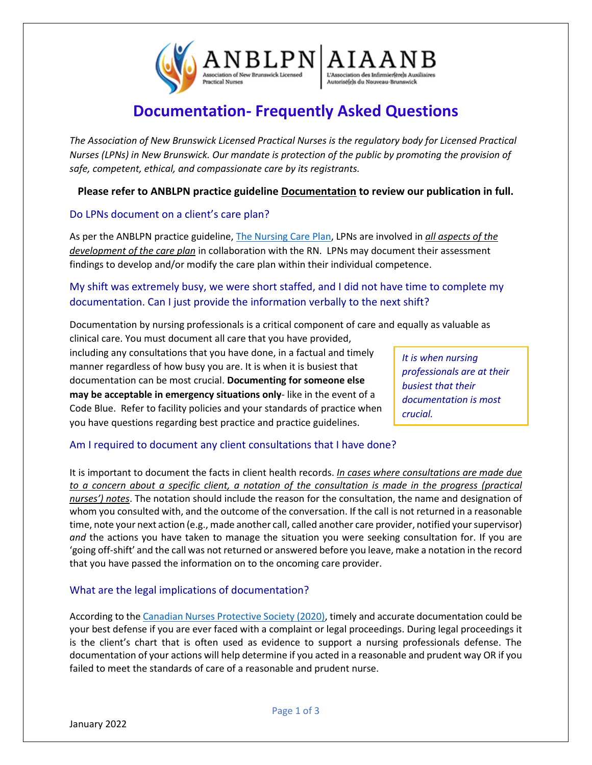

## **Documentation- Frequently Asked Questions**

*The Association of New Brunswick Licensed Practical Nurses is the regulatory body for Licensed Practical Nurses (LPNs) in New Brunswick. Our mandate is protection of the public by promoting the provision of safe, competent, ethical, and compassionate care by its registrants.*

**Please refer to ANBLPN practice guideline Documentation to review our publication in full.**

#### Do LPNs document on a client's care plan?

As per the ANBLPN practice guideline, The [Nursing Care Plan,](https://www.anblpn.ca/wp-content/uploads/2021/04/The-Nursing-Care-Plan_2021.pdf) LPNs are involved in *all aspects of the development of the care plan* in collaboration with the RN. LPNs may document their assessment findings to develop and/or modify the care plan within their individual competence.

### My shift was extremely busy, we were short staffed, and I did not have time to complete my documentation. Can I just provide the information verbally to the next shift?

Documentation by nursing professionals is a critical component of care and equally as valuable as

clinical care. You must document all care that you have provided, including any consultations that you have done, in a factual and timely manner regardless of how busy you are. It is when it is busiest that documentation can be most crucial. **Documenting for someone else may be acceptable in emergency situations only**- like in the event of a Code Blue. Refer to facility policies and your standards of practice when you have questions regarding best practice and practice guidelines.

*It is when nursing professionals are at their busiest that their documentation is most crucial.*

### Am I required to document any client consultations that I have done?

It is important to document the facts in client health records. *In cases where consultations are made due to a concern about a specific client, a notation of the consultation is made in the progress (practical nurses') notes*. The notation should include the reason for the consultation, the name and designation of whom you consulted with, and the outcome of the conversation. If the call is not returned in a reasonable time, note your next action (e.g., made another call, called another care provider, notified your supervisor) *and* the actions you have taken to manage the situation you were seeking consultation for. If you are 'going off-shift' and the call was not returned or answered before you leave, make a notation in the record that you have passed the information on to the oncoming care provider.

#### What are the legal implications of documentation?

According to th[e Canadian Nurses Protective](https://cnps.ca/article/infolaw-qualitydocumentation/) Society (2020), timely and accurate documentation could be your best defense if you are ever faced with a complaint or legal proceedings. During legal proceedings it is the client's chart that is often used as evidence to support a nursing professionals defense. The documentation of your actions will help determine if you acted in a reasonable and prudent way OR if you failed to meet the standards of care of a reasonable and prudent nurse.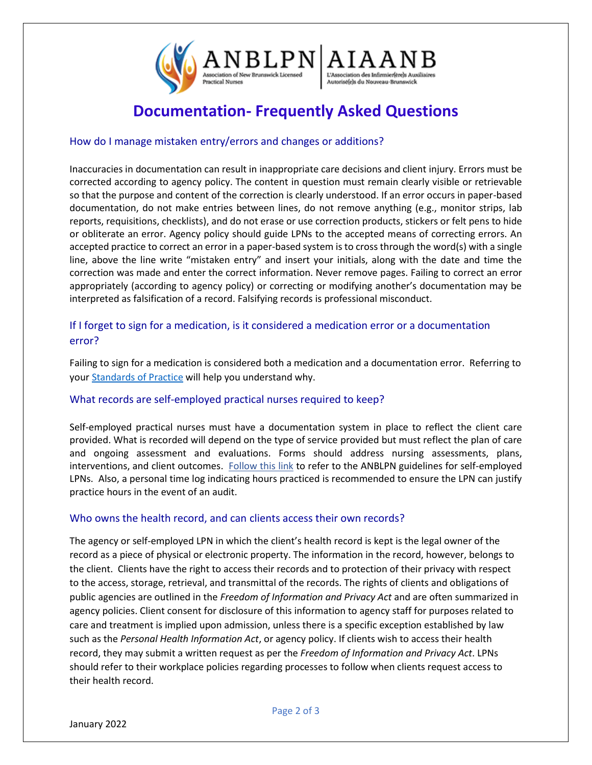

# **Documentation- Frequently Asked Questions**

#### How do I manage mistaken entry/errors and changes or additions?

Inaccuracies in documentation can result in inappropriate care decisions and client injury. Errors must be corrected according to agency policy. The content in question must remain clearly visible or retrievable so that the purpose and content of the correction is clearly understood. If an error occurs in paper-based documentation, do not make entries between lines, do not remove anything (e.g., monitor strips, lab reports, requisitions, checklists), and do not erase or use correction products, stickers or felt pens to hide or obliterate an error. Agency policy should guide LPNs to the accepted means of correcting errors. An accepted practice to correct an error in a paper-based system is to cross through the word(s) with a single line, above the line write "mistaken entry" and insert your initials, along with the date and time the correction was made and enter the correct information. Never remove pages. Failing to correct an error appropriately (according to agency policy) or correcting or modifying another's documentation may be interpreted as falsification of a record. Falsifying records is professional misconduct.

### If I forget to sign for a medication, is it considered a medication error or a documentation error?

Failing to sign for a medication is considered both a medication and a documentation error. Referring to your [Standards of Practice](https://www.anblpn.ca/wp-content/uploads/2021/04/CCPNR-2020-Standard_ENG.pdf) will help you understand why.

#### What records are self-employed practical nurses required to keep?

Self-employed practical nurses must have a documentation system in place to reflect the client care provided. What is recorded will depend on the type of service provided but must reflect the plan of care and ongoing assessment and evaluations. Forms should address nursing assessments, plans, interventions, and client outcomes. [Follow this link](https://www.anblpn.ca/wp-content/uploads/2021/04/Self-Employment-Guidelines_2020.pdf) to refer to the ANBLPN guidelines for self-employed LPNs. Also, a personal time log indicating hours practiced is recommended to ensure the LPN can justify practice hours in the event of an audit.

#### Who owns the health record, and can clients access their own records?

The agency or self-employed LPN in which the client's health record is kept is the legal owner of the record as a piece of physical or electronic property. The information in the record, however, belongs to the client. Clients have the right to access their records and to protection of their privacy with respect to the access, storage, retrieval, and transmittal of the records. The rights of clients and obligations of public agencies are outlined in the *Freedom of Information and Privacy Act* and are often summarized in agency policies. Client consent for disclosure of this information to agency staff for purposes related to care and treatment is implied upon admission, unless there is a specific exception established by law such as the *Personal Health Information Act*, or agency policy. If clients wish to access their health record, they may submit a written request as per the *Freedom of Information and Privacy Act*. LPNs should refer to their workplace policies regarding processes to follow when clients request access to their health record.